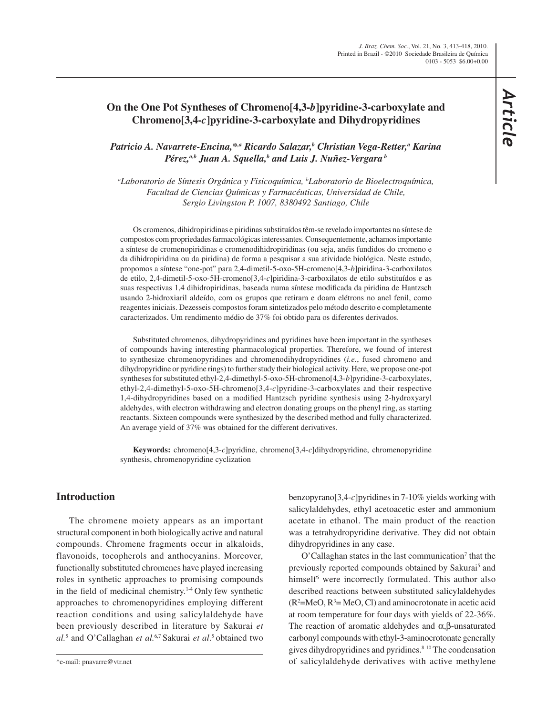# **On the One Pot Syntheses of Chromeno[4,3-***b***]pyridine-3-carboxylate and Chromeno[3,4-***c***]pyridine-3-carboxylate and Dihydropyridines**

*Patricio A. Navarrete-Encina,\*,a Ricardo Salazar,b Christian Vega-Retter,a Karina*  Pérez,<sup>a,b</sup> Juan A. Squella,<sup>b</sup> and Luis J. Nuñez-Vergara <sup>b</sup>

*a Laboratorio de Síntesis Orgánica y Fisicoquímica, b Laboratorio de Bioelectroquímica, Facultad de Ciencias Químicas y Farmacéuticas, Universidad de Chile, Sergio Livingston P. 1007, 8380492 Santiago, Chile*

Os cromenos, dihidropiridinas e piridinas substituídos têm-se revelado importantes na síntese de compostos com propriedades farmacológicas interessantes. Consequentemente, achamos importante a síntese de cromenopiridinas e cromenodihidropiridinas (ou seja, anéis fundidos do cromeno e da dihidropiridina ou da piridina) de forma a pesquisar a sua atividade biológica. Neste estudo, propomos a síntese "one-pot" para 2,4-dimetil-5-oxo-5H-cromeno[4,3-*b*]piridina-3-carboxilatos de etilo, 2,4-dimetil-5-oxo-5H-cromeno[3,4-*c*]piridina-3-carboxilatos de etilo substituídos e as suas respectivas 1,4 dihidropiridinas, baseada numa síntese modificada da piridina de Hantzsch usando 2-hidroxiaril aldeído, com os grupos que retiram e doam elétrons no anel fenil, como reagentes iniciais. Dezesseis compostos foram sintetizados pelo método descrito e completamente caracterizados. Um rendimento médio de 37% foi obtido para os diferentes derivados.

Substituted chromenos, dihydropyridines and pyridines have been important in the syntheses of compounds having interesting pharmacological properties. Therefore, we found of interest to synthesize chromenopyridines and chromenodihydropyridines (*i.e.*, fused chromeno and dihydropyridine or pyridine rings) to further study their biological activity. Here, we propose one-pot syntheses for substituted ethyl-2,4-dimethyl-5-oxo-5H-chromeno[4,3-*b*]pyridine-3-carboxylates, ethyl-2,4-dimethyl-5-oxo-5H-chromeno[3,4-*c*]pyridine-3-carboxylates and their respective 1,4-dihydropyridines based on a modified Hantzsch pyridine synthesis using 2-hydroxyaryl aldehydes, with electron withdrawing and electron donating groups on the phenyl ring, as starting reactants. Sixteen compounds were synthesized by the described method and fully characterized. An average yield of 37% was obtained for the different derivatives.

**Keywords:** chromeno[4,3-*c*]pyridine, chromeno[3,4-*c*]dihydropyridine, chromenopyridine synthesis, chromenopyridine cyclization

### **Introduction**

The chromene moiety appears as an important structural component in both biologically active and natural compounds. Chromene fragments occur in alkaloids, flavonoids, tocopherols and anthocyanins. Moreover, functionally substituted chromenes have played increasing roles in synthetic approaches to promising compounds in the field of medicinal chemistry.<sup>1-4</sup> Only few synthetic approaches to chromenopyridines employing different reaction conditions and using salicylaldehyde have been previously described in literature by Sakurai *et al.*<sup>5</sup> and O'Callaghan *et al.*6,7 Sakurai *et al*. 5 obtained two benzopyrano[3,4-*c*]pyridines in 7-10% yields working with salicylaldehydes, ethyl acetoacetic ester and ammonium acetate in ethanol. The main product of the reaction was a tetrahydropyridine derivative. They did not obtain dihydropyridines in any case.

 $O'Callaghan$  states in the last communication<sup>7</sup> that the previously reported compounds obtained by Sakurai<sup>5</sup> and himself<sup>6</sup> were incorrectly formulated. This author also described reactions between substituted salicylaldehydes  $(R<sup>2</sup>=MeO, R<sup>3</sup>=MeO, Cl)$  and aminocrotonate in acetic acid at room temperature for four days with yields of 22-36%. The reaction of aromatic aldehydes and  $\alpha$ ,  $\beta$ -unsaturated carbonyl compounds with ethyl-3-aminocrotonate generally gives dihydropyridines and pyridines.<sup>8-10</sup> The condensation of salicylaldehyde derivatives with active methylene

<sup>\*</sup>e-mail: pnavarre@vtr.net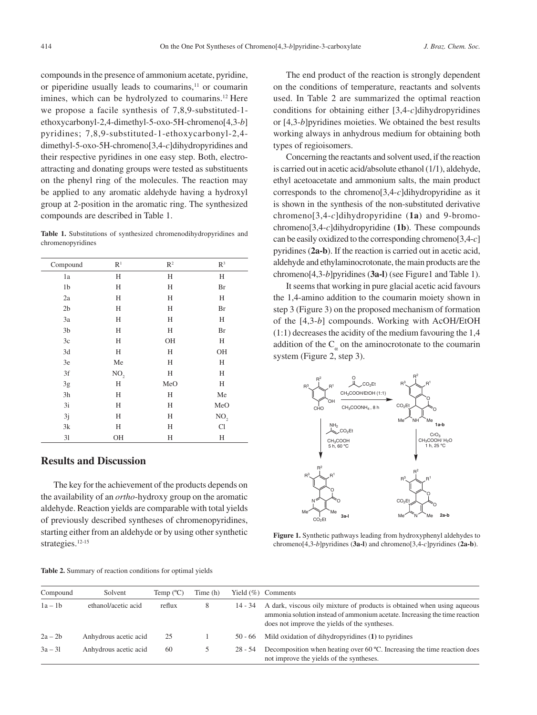compounds in the presence of ammonium acetate, pyridine, or piperidine usually leads to coumarins, $11$  or coumarin imines, which can be hydrolyzed to coumarins.<sup>12</sup> Here we propose a facile synthesis of 7,8,9-substituted-1 ethoxycarbonyl-2,4-dimethyl-5-oxo-5H-chromeno[4,3-*b*] pyridines; 7,8,9-substituted-1-ethoxycarbonyl-2,4 dimethyl-5-oxo-5H-chromeno[3,4-*c*]dihydropyridines and their respective pyridines in one easy step. Both, electroattracting and donating groups were tested as substituents on the phenyl ring of the molecules. The reaction may be applied to any aromatic aldehyde having a hydroxyl group at 2-position in the aromatic ring. The synthesized compounds are described in Table 1.

**Table 1.** Substitutions of synthesized chromenodihydropyridines and chromenopyridines

| Compound       | R <sup>1</sup>  | $\mathbb{R}^2$ | $R^3$           |
|----------------|-----------------|----------------|-----------------|
| 1a             | H               | H              | Η               |
| 1 <sub>b</sub> | H               | Н              | Br              |
| 2a             | H               | Н              | H               |
| 2 <sub>b</sub> | H               | Н              | Br              |
| 3a             | H               | H              | H               |
| 3 <sub>b</sub> | H               | H              | Br              |
| 3c             | Н               | OH             | Н               |
| 3d             | H               | H              | OH              |
| 3e             | Me              | Н              | H               |
| 3f             | NO <sub>2</sub> | H              | H               |
| 3g             | H               | MeO            | Η               |
| 3h             | H               | H              | Me              |
| 3i             | H               | Н              | MeO             |
| 3j             | Н               | Н              | NO <sub>2</sub> |
| 3k             | H               | Н              | Cl              |
| 31             | OH              | Н              | Η               |

## **Results and Discussion**

The key for the achievement of the products depends on the availability of an *ortho*-hydroxy group on the aromatic aldehyde. Reaction yields are comparable with total yields of previously described syntheses of chromenopyridines, starting either from an aldehyde or by using other synthetic strategies.<sup>12-15</sup>

The end product of the reaction is strongly dependent on the conditions of temperature, reactants and solvents used. In Table 2 are summarized the optimal reaction conditions for obtaining either [3,4-*c*]dihydropyridines or [4,3-*b*]pyridines moieties. We obtained the best results working always in anhydrous medium for obtaining both types of regioisomers.

Concerning the reactants and solvent used, if the reaction is carried out in acetic acid/absolute ethanol (1/1), aldehyde, ethyl acetoacetate and ammonium salts, the main product corresponds to the chromeno[3,4-*c*]dihydropyridine as it is shown in the synthesis of the non-substituted derivative chromeno[3,4-*c*]dihydropyridine (**1a**) and 9-bromochromeno[3,4-*c*]dihydropyridine (**1b**). These compounds can be easily oxidized to the corresponding chromeno[3,4-*c*] pyridines (**2a-b**). If the reaction is carried out in acetic acid, aldehyde and ethylaminocrotonate, the main products are the chromeno[4,3-*b*]pyridines (**3a-l**) (see Figure1 and Table 1).

It seems that working in pure glacial acetic acid favours the 1,4-amino addition to the coumarin moiety shown in step 3 (Figure 3) on the proposed mechanism of formation of the [4,3-*b*] compounds. Working with AcOH/EtOH (1:1) decreases the acidity of the medium favouring the 1,4 addition of the  $C_{\alpha}$  on the aminocrotonate to the coumarin system (Figure 2, step 3).



**Figure 1.** Synthetic pathways leading from hydroxyphenyl aldehydes to chromeno[4,3-*b*]pyridines (**3a-l**) and chromeno[3,4-*c*]pyridines (**2a-b**).

| Compound  | Solvent               | Temp $(^{\circ}C)$ | Time (h) |           | Yield $(\%)$ Comments                                                                                                                                                                                  |
|-----------|-----------------------|--------------------|----------|-----------|--------------------------------------------------------------------------------------------------------------------------------------------------------------------------------------------------------|
| $1a - 1b$ | ethanol/acetic acid   | reflux             | 8        | 14 - 34   | A dark, viscous oily mixture of products is obtained when using aqueous<br>ammonia solution instead of ammonium acetate. Increasing the time reaction<br>does not improve the yields of the syntheses. |
| $2a - 2b$ | Anhydrous acetic acid | 25                 |          | $50 - 66$ | Mild oxidation of dihydropyridines (1) to pyridines                                                                                                                                                    |
| $3a - 31$ | Anhydrous acetic acid | 60                 |          | $28 - 54$ | Decomposition when heating over 60 $^{\circ}$ C. Increasing the time reaction does<br>not improve the yields of the syntheses.                                                                         |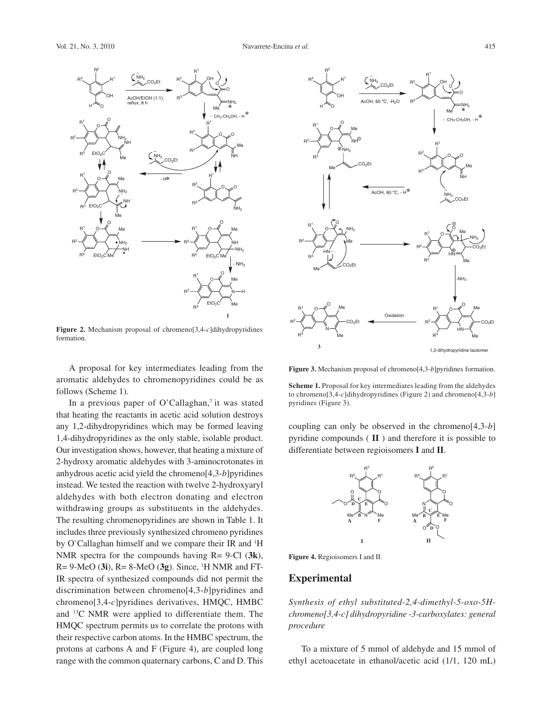

**Figure 2.** Mechanism proposal of chromeno[3,4-*c*]dihydropyridines formation.

A proposal for key intermediates leading from the aromatic aldehydes to chromenopyridines could be as follows (Scheme 1).

In a previous paper of O'Callaghan,<sup>7</sup> it was stated that heating the reactants in acetic acid solution destroys any 1,2-dihydropyridines which may be formed leaving 1,4-dihydropyridines as the only stable, isolable product. Our investigation shows, however, that heating a mixture of 2-hydroxy aromatic aldehydes with 3-aminocrotonates in anhydrous acetic acid yield the chromeno[4,3-*b*]pyridines instead. We tested the reaction with twelve 2-hydroxyaryl aldehydes with both electron donating and electron withdrawing groups as substituents in the aldehydes. The resulting chromenopyridines are shown in Table 1. It includes three previously synthesized chromeno pyridines by O'Callaghan himself and we compare their IR and <sup>1</sup>H NMR spectra for the compounds having R= 9-Cl (**3k**), R= 9-MeO (**3i**), R= 8-MeO (**3g**). Since, 1 H NMR and FT-IR spectra of synthesized compounds did not permit the discrimination between chromeno[4,3-*b*]pyridines and chromeno[3,4-*c*]pyridines derivatives, HMQC, HMBC and 13C NMR were applied to differentiate them. The HMQC spectrum permits us to correlate the protons with their respective carbon atoms. In the HMBC spectrum, the protons at carbons A and F (Figure 4), are coupled long range with the common quaternary carbons, C and D. This



**Figure 3.** Mechanism proposal of chromeno[4,3-*b*]pyridines formation.

**Scheme 1.** Proposal for key intermediates leading from the aldehydes to chromeno[3,4-*c*]dihydropyridines (Figure 2) and chromeno[4,3-*b*] pyridines (Figure 3).

coupling can only be observed in the chromeno[4,3-*b*] pyridine compounds ( **II** ) and therefore it is possible to differentiate between regioisomers **I** and **II**.



**Figure 4.** Regioisomers I and II.

#### **Experimental**

*Synthesis of ethyl substituted-2,4-dimethyl-5-oxo-5Hchromeno[3,4-c] dihydropyridine -3-carboxylates: general procedure*

To a mixture of 5 mmol of aldehyde and 15 mmol of ethyl acetoacetate in ethanol/acetic acid (1/1, 120 mL)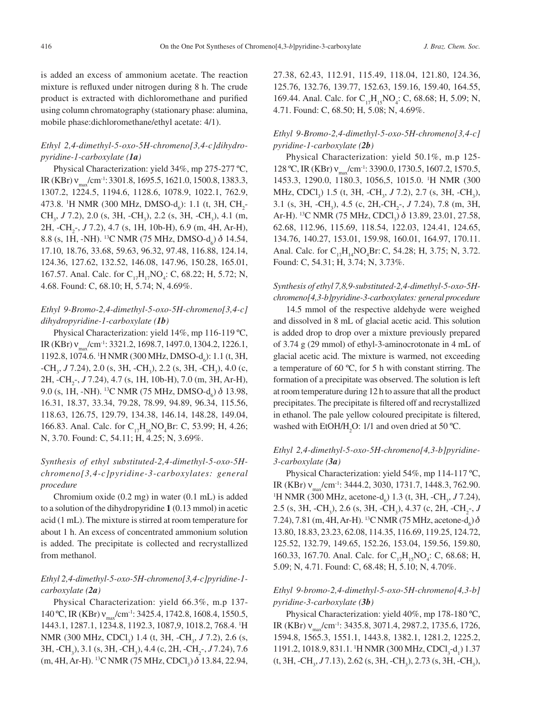is added an excess of ammonium acetate. The reaction mixture is refluxed under nitrogen during 8 h. The crude product is extracted with dichloromethane and purified using column chromatography (stationary phase: alumina, mobile phase:dichloromethane/ethyl acetate: 4/1).

### *Ethyl 2,4-dimethyl-5-oxo-5H-chromeno[3,4-c]dihydropyridine-1-carboxylate (1a)*

Physical Characterization: yield 34%, mp 275-277 ºC, IR (KBr) ν<sub>max</sub>/cm<sup>-1</sup>: 3301.8, 1695.5, 1621.0, 1500.8, 1383.3, 1307.2, 1224.5, 1194.6, 1128.6, 1078.9, 1022.1, 762.9, 473.8. <sup>1</sup>H NMR (300 MHz, DMSO-d<sub>6</sub>): 1.1 (t, 3H, CH<sub>2</sub>-CH<sub>3</sub>, J 7.2), 2.0 (s, 3H, -CH<sub>3</sub>), 2.2 (s, 3H, -CH<sub>3</sub>), 4.1 (m, 2H,  $-CH_2$ <sup>-</sup>, *J* 7.2), 4.7 (s, 1H, 10b-H), 6.9 (m, 4H, Ar-H), 8.8 (s, 1H, -NH). <sup>13</sup>C NMR (75 MHz, DMSO-d<sub>6</sub>)  $\delta$  14.54, 17.10, 18.76, 33.68, 59.63, 96.32, 97.48, 116.88, 124.14, 124.36, 127.62, 132.52, 146.08, 147.96, 150.28, 165.01, 167.57. Anal. Calc. for C<sub>17</sub>H<sub>17</sub>NO<sub>4</sub>: C, 68.22; H, 5.72; N, 4.68. Found: C, 68.10; H, 5.74; N, 4.69%.

### *Ethyl 9-Bromo-2,4-dimethyl-5-oxo-5H-chromeno[3,4-c] dihydropyridine-1-carboxylate (1b)*

Physical Characterization: yield 14%, mp 116-119 ºC, IR (KBr) v<sub>max</sub>/cm<sup>-1</sup>: 3321.2, 1698.7, 1497.0, 1304.2, 1226.1, 1192.8, 1074.6. <sup>1</sup>H NMR (300 MHz, DMSO-d<sub>6</sub>): 1.1 (t, 3H, -CH<sub>3</sub>, J 7.24), 2.0 (s, 3H, -CH<sub>3</sub>), 2.2 (s, 3H, -CH<sub>3</sub>), 4.0 (c, 2H,  $-CH_2$ <sup>-</sup>, *J* 7.24), 4.7 (s, 1H, 10b-H), 7.0 (m, 3H, Ar-H), 9.0 (s, 1H, -NH). <sup>13</sup>C NMR (75 MHz, DMSO-d<sub>6</sub>)  $\delta$  13.98, 16.31, 18.37, 33.34, 79.28, 78.99, 94.89, 96.34, 115.56, 118.63, 126.75, 129.79, 134.38, 146.14, 148.28, 149.04, 166.83. Anal. Calc. for  $C_{17}H_{16}NO_4Br$ : C, 53.99; H, 4.26; N, 3.70. Found: C, 54.11; H, 4.25; N, 3.69%.

### *Synthesis of ethyl substituted-2,4-dimethyl-5-oxo-5Hchromeno[3,4-c]pyridine-3-carboxylates: general procedure*

Chromium oxide (0.2 mg) in water (0.1 mL) is added to a solution of the dihydropyridine **1** (0.13 mmol) in acetic acid (1 mL). The mixture is stirred at room temperature for about 1 h. An excess of concentrated ammonium solution is added. The precipitate is collected and recrystallized from methanol.

### *Ethyl 2,4-dimethyl-5-oxo-5H-chromeno[3,4-c]pyridine-1 carboxylate (2a)*

Physical Characterization: yield 66.3%, m.p 137- 140 °C, IR (KBr) ν<sub>max</sub>/cm<sup>-1</sup>: 3425.4, 1742.8, 1608.4, 1550.5, 1443.1, 1287.1, 1234.8, 1192.3, 1087,9, 1018.2, 768.4. 1 H NMR (300 MHz, CDCl<sub>3</sub>) 1.4 (t, 3H, -CH<sub>3</sub>, *J* 7.2), 2.6 (s, 3H, -CH<sub>3</sub>), 3.1 (s, 3H, -CH<sub>3</sub>), 4.4 (c, 2H, -CH<sub>2</sub>-, *J* 7.24), 7.6  $(m, 4H, Ar-H)$ . <sup>13</sup>C NMR (75 MHz, CDCl<sub>3</sub>)  $\delta$  13.84, 22.94, 27.38, 62.43, 112.91, 115.49, 118.04, 121.80, 124.36, 125.76, 132.76, 139.77, 152.63, 159.16, 159.40, 164.55, 169.44. Anal. Calc. for C<sub>17</sub>H<sub>15</sub>NO<sub>4</sub>: C, 68.68; H, 5.09; N, 4.71. Found: C, 68.50; H, 5.08; N, 4.69%.

## *Ethyl 9-Bromo-2,4-dimethyl-5-oxo-5H-chromeno[3,4-c] pyridine-1-carboxylate (2b)*

Physical Characterization: yield 50.1%, m.p 125- 128 °C, IR (KBr) ν<sub>max</sub>/cm<sup>-1</sup>: 3390.0, 1730.5, 1607.2, 1570.5, 1453.3, 1290.0, 1180.3, 1056,5, 1015.0. 1 H NMR (300 MHz, CDCl<sub>3</sub>) 1.5 (t, 3H, -CH<sub>3</sub>, *J* 7.2), 2.7 (s, 3H, -CH<sub>3</sub>), 3.1 (s, 3H, -CH<sub>3</sub>), 4.5 (c, 2H,-CH<sub>2</sub>-, *J* 7.24), 7.8 (m, 3H, Ar-H). <sup>13</sup>C NMR (75 MHz, CDCl<sub>3</sub>)  $\delta$  13.89, 23.01, 27.58, 62.68, 112.96, 115.69, 118.54, 122.03, 124.41, 124.65, 134.76, 140.27, 153.01, 159.98, 160.01, 164.97, 170.11. Anal. Calc. for  $C_{17}H_{14}NO_4Br$ : C, 54.28; H, 3.75; N, 3.72. Found: C, 54.31; H, 3.74; N, 3.73%.

### *Synthesis of ethyl 7,8,9-substituted-2,4-dimethyl-5-oxo-5Hchromeno[4,3-b]pyridine-3-carboxylates: general procedure*

14.5 mmol of the respective aldehyde were weighed and dissolved in 8 mL of glacial acetic acid. This solution is added drop to drop over a mixture previously prepared of 3.74 g (29 mmol) of ethyl-3-aminocrotonate in 4 mL of glacial acetic acid. The mixture is warmed, not exceeding a temperature of 60 ºC, for 5 h with constant stirring. The formation of a precipitate was observed. The solution is left at room temperature during 12 h to assure that all the product precipitates. The precipitate is filtered off and recrystallized in ethanol. The pale yellow coloured precipitate is filtered, washed with EtOH/ $H_2O$ : 1/1 and oven dried at 50 °C.

#### *Ethyl 2,4-dimethyl-5-oxo-5H-chromeno[4,3-b]pyridine-3-carboxylate (3a)*

Physical Characterization: yield 54%, mp 114-117 ºC, IR (KBr) v<sub>max</sub>/cm<sup>-1</sup>: 3444.2, 3030, 1731.7, 1448.3, 762.90. H NMR (300 MHz, acetone-d<sub>6</sub>) 1.3 (t, 3H, -CH<sub>3</sub>, *J* 7.24), 2.5 (s, 3H, -CH<sub>3</sub>), 2.6 (s, 3H, -CH<sub>3</sub>), 4.37 (c, 2H, -CH<sub>2</sub>-, *J* 7.24), 7.81 (m, 4H, Ar-H). <sup>13</sup>C NMR (75 MHz, acetone-d<sub>6</sub>)  $\delta$ 13.80, 18.83, 23.23, 62.08, 114.35, 116.69, 119.25, 124.72, 125.52, 132.79, 149.65, 152.26, 153.04, 159.56, 159.80, 160.33, 167.70. Anal. Calc. for  $C_{17}H_{15}NO_4$ : C, 68.68; H, 5.09; N, 4.71. Found: C, 68.48; H, 5.10; N, 4.70%.

#### *Ethyl 9-bromo-2,4-dimethyl-5-oxo-5H-chromeno[4,3-b] pyridine-3-carboxylate (3b)*

Physical Characterization: yield 40%, mp 178-180 ºC, IR (KBr) ν<sub>max</sub>/cm<sup>-1</sup>: 3435.8, 3071.4, 2987.2, 1735.6, 1726, 1594.8, 1565.3, 1551.1, 1443.8, 1382.1, 1281.2, 1225.2, 1191.2, 1018.9, 831.1. <sup>1</sup>H NMR (300 MHz, CDCl<sub>3</sub>-d<sub>1</sub>) 1.37 (t, 3H, -CH<sub>3</sub>, J 7.13), 2.62 (s, 3H, -CH<sub>3</sub>), 2.73 (s, 3H, -CH<sub>3</sub>),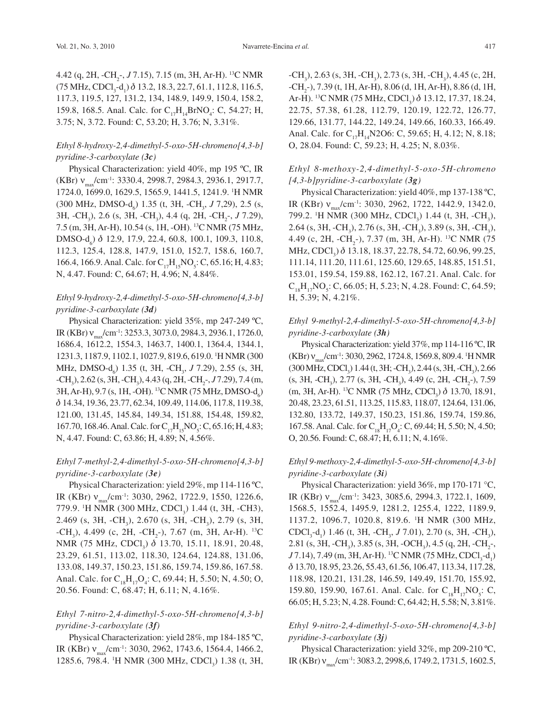4.42 (q, 2H, -CH<sub>2</sub>-, *J* 7.15), 7.15 (m, 3H, Ar-H). <sup>13</sup>C NMR  $(75 \text{ MHz}, \text{CDCl}_3\text{-d}_1) \delta 13.2, 18.3, 22.7, 61.1, 112.8, 116.5,$ 117.3, 119.5, 127, 131.2, 134, 148.9, 149.9, 150.4, 158.2, 159.8, 168.5. Anal. Calc. for  $C_{17}H_{14}BrNO_4$ : C, 54.27; H, 3.75; N, 3.72. Found: C, 53.20; H, 3.76; N, 3.31%.

### *Ethyl 8-hydroxy-2,4-dimethyl-5-oxo-5H-chromeno[4,3-b] pyridine-3-carboxylate (3c)*

Physical Characterization: yield 40%, mp 195 ºC, IR (KBr) v<sub>max</sub>/cm<sup>-1</sup>: 3330.4, 2998.7, 2984.3, 2936.1, 2917.7, 1724.0, 1699.0, 1629.5, 1565.9, 1441.5, 1241.9. 1 H NMR (300 MHz, DMSO-d<sub>6</sub>) 1.35 (t, 3H, -CH<sub>3</sub>, *J* 7,29), 2.5 (s, 3H, -CH<sub>3</sub>), 2.6 (s, 3H, -CH<sub>3</sub>), 4.4 (q, 2H, -CH<sub>2</sub>-, *J* 7.29), 7.5 (m, 3H, Ar-H), 10.54 (s, 1H, -OH). 13C NMR (75 MHz, DMSO-d<sub>6</sub>) δ 12.9, 17.9, 22.4, 60.8, 100.1, 109.3, 110.8, 112.3, 125.4, 128.8, 147.9, 151.0, 152.7, 158.6, 160.7, 166.4, 166.9. Anal. Calc. for  $C_{17}H_{15}NO_5$ : C, 65.16; H, 4.83; N, 4.47. Found: C, 64.67; H, 4.96; N, 4.84%.

### *Ethyl 9-hydroxy-2,4-dimethyl-5-oxo-5H-chromeno[4,3-b] pyridine-3-carboxylate (3d)*

Physical Characterization: yield 35%, mp 247-249 ºC, IR (KBr)  $v_{\text{max}}$ /cm<sup>-1</sup>: 3253.3, 3073.0, 2984.3, 2936.1, 1726.0, 1686.4, 1612.2, 1554.3, 1463.7, 1400.1, 1364.4, 1344.1, 1231.3, 1187.9, 1102.1, 1027.9, 819.6, 619.0. 1 H NMR (300 MHz, DMSO-d<sub>6</sub>) 1.35 (t, 3H, -CH<sub>3</sub>, *J* 7.29), 2.55 (s, 3H, -CH<sub>3</sub>), 2.62 (s, 3H, -CH<sub>3</sub>), 4.43 (q, 2H, -CH<sub>2</sub>-, *J* 7.29), 7.4 (m, 3H, Ar-H), 9.7 (s, 1H, -OH). <sup>13</sup>C NMR (75 MHz, DMSO-d<sub>6</sub>) d 14.34, 19.36, 23.77, 62.34, 109.49, 114.06, 117.8, 119.38, 121.00, 131.45, 145.84, 149.34, 151.88, 154.48, 159.82, 167.70, 168.46. Anal. Calc. for  $C_{17}H_{15}NO_5$ : C, 65.16; H, 4.83; N, 4.47. Found: C, 63.86; H, 4.89; N, 4.56%.

### *Ethyl 7-methyl-2,4-dimethyl-5-oxo-5H-chromeno[4,3-b] pyridine-3-carboxylate (3e)*

Physical Characterization: yield 29%, mp 114-116 ºC, IR (KBr) v<sub>max</sub>/cm<sup>-1</sup>: 3030, 2962, 1722.9, 1550, 1226.6, 779.9. <sup>1</sup>H NMR (300 MHz, CDCl<sub>3</sub>) 1.44 (t, 3H, -CH3), 2.469 (s, 3H, -CH<sub>3</sub>), 2.670 (s, 3H, -CH<sub>3</sub>), 2.79 (s, 3H, -CH<sub>3</sub>), 4.499 (c, 2H, -CH<sub>2</sub>-), 7.67 (m, 3H, Ar-H). <sup>13</sup>C NMR (75 MHz, CDCl<sub>3</sub>)  $\delta$  13.70, 15.11, 18.91, 20.48, 23.29, 61.51, 113.02, 118.30, 124.64, 124.88, 131.06, 133.08, 149.37, 150.23, 151.86, 159.74, 159.86, 167.58. Anal. Calc. for  $C_{18}H_{17}O_4$ : C, 69.44; H, 5.50; N, 4.50; O, 20.56. Found: C, 68.47; H, 6.11; N, 4.16%.

#### *Ethyl 7-nitro-2,4-dimethyl-5-oxo-5H-chromeno[4,3-b] pyridine-3-carboxylate (3f)*

Physical Characterization: yield 28%, mp 184-185 ºC, IR (KBr) v<sub>max</sub>/cm<sup>-1</sup>: 3030, 2962, 1743.6, 1564.4, 1466.2, 1285.6, 798.4. <sup>1</sup>H NMR (300 MHz, CDCl<sub>3</sub>) 1.38 (t, 3H,

 $-CH_3$ ), 2.63 (s, 3H,  $-CH_3$ ), 2.73 (s, 3H,  $-CH_3$ ), 4.45 (c, 2H, -CH<sub>2</sub>-), 7.39 (t, 1H, Ar-H), 8.06 (d, 1H, Ar-H), 8.86 (d, 1H, Ar-H). <sup>13</sup>C NMR (75 MHz, CDCl<sub>3</sub>)  $\delta$  13.12, 17.37, 18.24, 22.75, 57.38, 61.28, 112.79, 120.19, 122.72, 126.77, 129.66, 131.77, 144.22, 149.24, 149.66, 160.33, 166.49. Anal. Calc. for C<sub>17</sub>H<sub>14</sub>N2O6: C, 59.65; H, 4.12; N, 8.18; O, 28.04. Found: C, 59.23; H, 4.25; N, 8.03%.

#### *Ethyl 8-methoxy-2,4-dimethyl-5-oxo-5H-chromeno [4,3-b]pyridine-3-carboxylate (3g)*

Physical Characterization: yield 40%, mp 137-138 ºC, IR (KBr) v<sub>max</sub>/cm<sup>-1</sup>: 3030, 2962, 1722, 1442.9, 1342.0, 799.2. <sup>1</sup>H NMR (300 MHz, CDCl<sub>3</sub>) 1.44 (t, 3H, -CH<sub>3</sub>), 2.64 (s, 3H, -CH<sub>3</sub>), 2.76 (s, 3H, -CH<sub>3</sub>), 3.89 (s, 3H, -CH<sub>3</sub>), 4.49 (c, 2H, -CH<sub>2</sub>-), 7.37 (m, 3H, Ar-H). <sup>13</sup>C NMR (75 MHz, CDCl<sub>3</sub>)  $\delta$  13.18, 18.37, 22.78, 54.72, 60.96, 99.25, 111.14, 111.20, 111.61, 125.60, 129.65, 148.85, 151.51, 153.01, 159.54, 159.88, 162.12, 167.21. Anal. Calc. for  $C_{18}H_{17}NO_5$ : C, 66.05; H, 5.23; N, 4.28. Found: C, 64.59; H, 5.39; N, 4.21%.

#### *Ethyl 9-methyl-2,4-dimethyl-5-oxo-5H-chromeno[4,3-b] pyridine-3-carboxylate (3h)*

Physical Characterization: yield 37%, mp 114-116 ºC, IR  $(KBr)$   $v_{max}/cm^{-1}$ : 3030, 2962, 1724.8, 1569.8, 809.4. <sup>1</sup>H NMR  $(300 \text{ MHz}, \text{CDCl}_3)$  1.44 (t, 3H; -CH<sub>3</sub>), 2.44 (s, 3H, -CH<sub>3</sub>), 2.66 (s, 3H, -CH<sub>3</sub>), 2.77 (s, 3H, -CH<sub>3</sub>), 4.49 (c, 2H, -CH<sub>2</sub>-), 7.59 (m, 3H, Ar-H). <sup>13</sup>C NMR (75 MHz, CDCl<sub>3</sub>)  $\delta$  13.70, 18.91, 20.48, 23.23, 61.51, 113.25, 115.83, 118.07, 124.64, 131.06, 132.80, 133.72, 149.37, 150.23, 151.86, 159.74, 159.86, 167.58. Anal. Calc. for  $C_{18}H_{17}O_4$ : C, 69.44; H, 5.50; N, 4.50; O, 20.56. Found: C, 68.47; H, 6.11; N, 4.16%.

### *Ethyl 9-methoxy-2,4-dimethyl-5-oxo-5H-chromeno[4,3-b] pyridine-3-carboxylate (3i)*

Physical Characterization: yield 36%, mp 170-171 °C, IR (KBr) ν<sub>max</sub>/cm<sup>-1</sup>: 3423, 3085.6, 2994.3, 1722.1, 1609, 1568.5, 1552.4, 1495.9, 1281.2, 1255.4, 1222, 1189.9, 1137.2, 1096.7, 1020.8, 819.6. 1 H NMR (300 MHz, CDCl<sub>3</sub>-d<sub>1</sub>) 1.46 (t, 3H, -CH<sub>3</sub>, *J* 7.01), 2.70 (s, 3H, -CH<sub>3</sub>), 2.81 (s, 3H, -CH<sub>3</sub>), 3.85 (s, 3H, -OCH<sub>3</sub>), 4.5 (q, 2H, -CH<sub>2</sub>-, *J* 7.14), 7.49 (m, 3H, Ar-H). <sup>13</sup>C NMR (75 MHz, CDCl<sub>3</sub>-d<sub>1</sub>) d 13.70, 18.95, 23.26, 55.43, 61.56, 106.47, 113.34, 117.28, 118.98, 120.21, 131.28, 146.59, 149.49, 151.70, 155.92, 159.80, 159.90, 167.61. Anal. Calc. for  $C_{18}H_{17}NO_5$ : C, 66.05; H, 5.23; N, 4.28. Found: C, 64.42; H, 5.58; N, 3.81%.

### *Ethyl 9-nitro-2,4-dimethyl-5-oxo-5H-chromeno[4,3-b] pyridine-3-carboxylate (3j)*

Physical Characterization: yield 32%, mp 209-210 ºC, IR (KBr) ν<sub>max</sub>/cm<sup>-1</sup>: 3083.2, 2998,6, 1749.2, 1731.5, 1602.5,